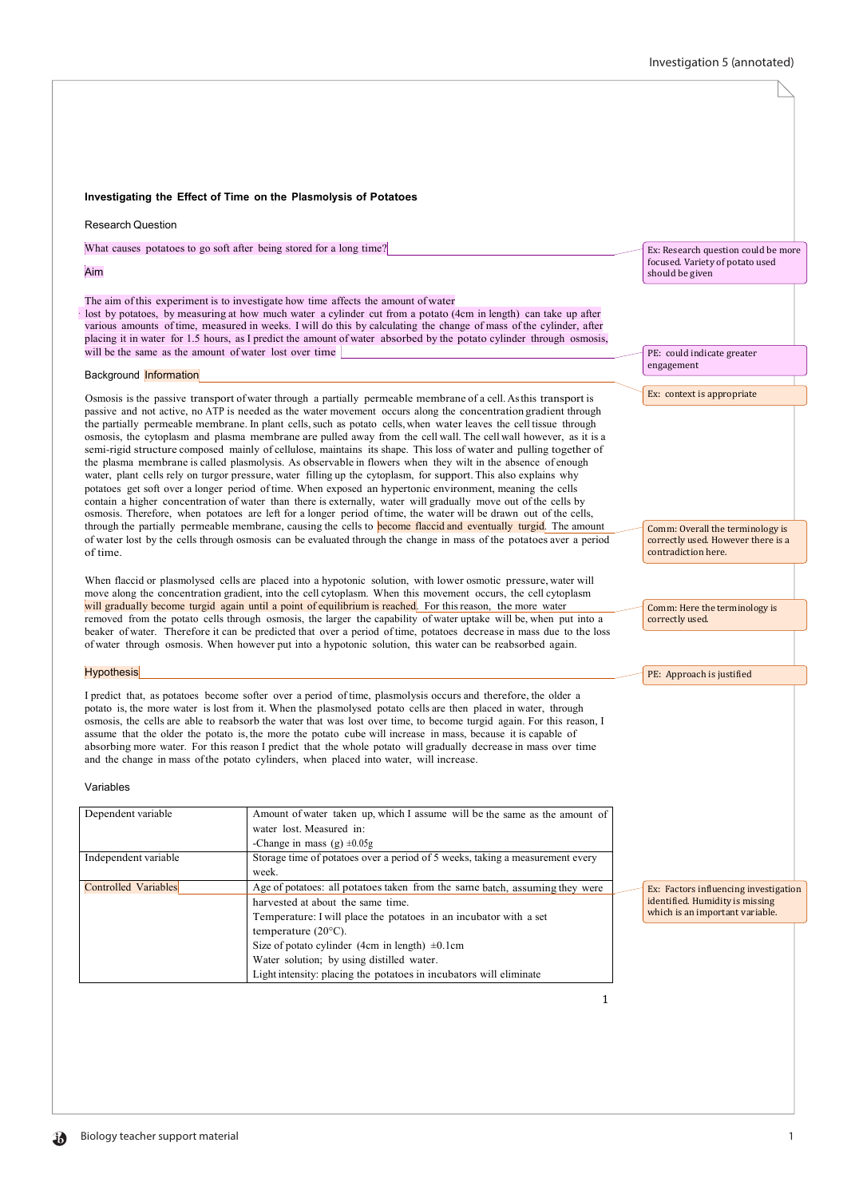### 1 **Investigating the Effect of Time on the Plasmolysis of Potatoes** Research Question What causes potatoes to go soft after being stored for a long time? Aim The aim of this experiment is to investigate how time affects the amount of water · lost by potatoes, by measuring at how much water a cylinder cut from a potato (4cm in length) can take up after various amounts of time, measured in weeks. I will do this by calculating the change of mass of the cylinder, after placing it in water for 1.5 hours, as I predict the amount of water absorbed by the potato cylinder through osmosis, will be the same as the amount of water lost over time **Background Information** Osmosis is the passive transport of water through a partially permeable membrane of a cell. Asthis transport is passive and not active, no ATP is needed as the water movement occurs along the concentration gradient through the partially permeable membrane. In plant cells, such as potato cells, when water leaves the cell tissue through osmosis, the cytoplasm and plasma membrane are pulled away from the cell wall. The cell wall however, as it is a semi-rigid structure composed mainly of cellulose, maintains its shape. This loss of water and pulling together of the plasma membrane is called plasmolysis. As observable in flowers when they wilt in the absence of enough water, plant cells rely on turgor pressure, water filling up the cytoplasm, for support. This also explains why potatoes get soft over a longer period of time. When exposed an hypertonic environment, meaning the cells contain a higher concentration of water than there is externally, water will gradually move out of the cells by osmosis. Therefore, when potatoes are left for a longer period oftime, the water will be drawn out of the cells, through the partially permeable membrane, causing the cells to **become flaccid and eventually turgid**. The amount of water lost by the cells through osmosis can be evaluated through the change in mass of the potatoes aver a period of time. When flaccid or plasmolysed cells are placed into a hypotonic solution, with lower osmotic pressure, water will move along the concentration gradient, into the cell cytoplasm. When this movement occurs, the cell cytoplasm will gradually become turgid again until a point of equilibrium is reached. For this reason, the more water removed from the potato cells through osmosis, the larger the capability of water uptake will be, when put into a beaker of water. Therefore it can be predicted that over a period of time, potatoes decrease in mass due to the loss of water through osmosis. When however put into a hypotonic solution, this water can be reabsorbed again. **Hypothesis** I predict that, as potatoes become softer over a period of time, plasmolysis occurs and therefore, the older a potato is, the more water is lost from it. When the plasmolysed potato cells are then placed in water, through osmosis, the cells are able to reabsorb the water that was lost over time, to become turgid again. For this reason, I assume that the older the potato is, the more the potato cube will increase in mass, because it is capable of absorbing more water. For this reason I predict that the whole potato will gradually decrease in mass over time and the change in mass ofthe potato cylinders, when placed into water, will increase. Variables Dependent variable Amount of water taken up, which I assume will be the same as the amount of water lost. Measured in: -Change in mass  $(g) \pm 0.05g$ Independent variable Storage time of potatoes over a period of 5 weeks, taking a measurement every week. Controlled Variables Age of potatoes: all potatoes taken from the same batch, assuming they were harvested at about the same time. Temperature: I will place the potatoes in an incubator with a set temperature (20°C). Size of potato cylinder (4cm in length)  $\pm 0.1$ cm Water solution; by using distilled water. Light intensity: placing the potatoes in incubators will eliminate Ex: Research question could be more focused. Variety of potato used should be given PE: could indicate greater engagement Ex: context is appropriate Comm: Overall the terminology is correctly used. However there is a contradiction here. Comm: Here the terminology is correctly used. PE: Approach is justified Ex: Factors influencing investigation identified. Humidity is missing which is an important variable.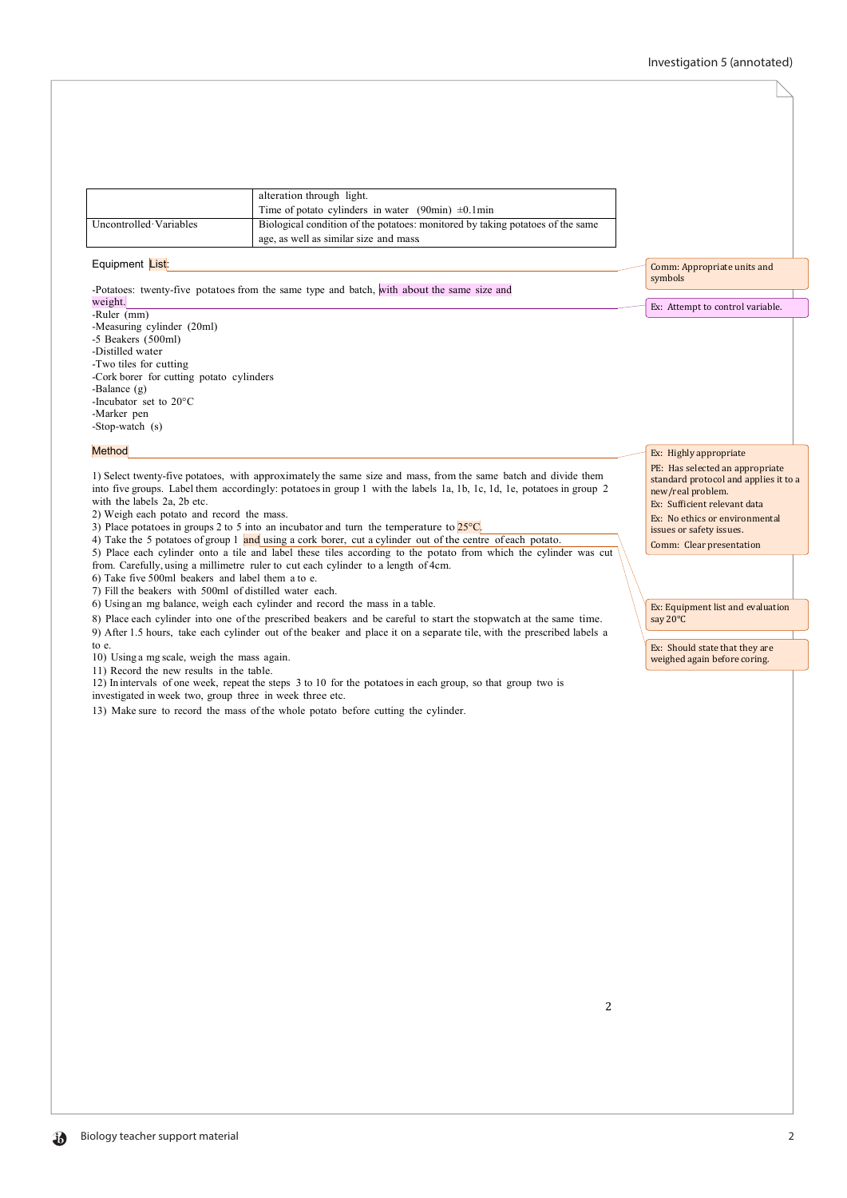|                        | alteration through light.<br>Time of potato cylinders in water (90min) $\pm$ 0.1min                                     |
|------------------------|-------------------------------------------------------------------------------------------------------------------------|
| Uncontrolled Variables | Biological condition of the potatoes: monitored by taking potatoes of the same<br>age, as well as similar size and mass |

## Equipment List:

-Potatoes: twenty-five potatoes from the same type and batch, with about the same size and

# weight.

-Ruler (mm) -Measuring cylinder (20ml) -5 Beakers (500ml) -Distilled water -Two tiles for cutting -Cork borer for cutting potato cylinders -Balance (g) -Incubator set to 20°C -Marker pen -Stop-watch (s)

#### **Method**

1) Select twenty-five potatoes, with approximately the same size and mass, from the same batch and divide them into five groups. Label them accordingly: potatoesin group 1 with the labels 1a, 1b, 1c, 1d, 1e, potatoes in group 2 with the labels 2a, 2b etc.

2) Weigh each potato and record the mass.

3) Place potatoes in groups 2 to 5 into an incubator and turn the temperature to  $25^{\circ}$ C.

4) Take the 5 potatoes of group 1 and using a cork borer, cut a cylinder out of the centre of each potato.

5) Place each cylinder onto a tile and label these tiles according to the potato from which the cylinder was cut from. Carefully, using a millimetre ruler to cut each cylinder to a length of 4cm.

6) Take five 500ml beakers and label them a to e.

7) Fill the beakers with 500ml of distilled water each.

6) Using an mg balance, weigh each cylinder and record the mass in a table.

8) Place each cylinder into one of the prescribed beakers and be careful to start the stopwatch at the same time. 9) After 1.5 hours, take each cylinder out of the beaker and place it on a separate tile, with the prescribed labels a to e.

10) Using a mg scale, weigh the mass again.

11) Record the new results in the table.

12) In intervals of one week, repeat the steps 3 to 10 for the potatoes in each group, so that group two is

investigated in week two, group three in week three etc.

13) Make sure to record the mass of the whole potato before cutting the cylinder.

Comm: Appropriate units and symbols

Ex: Highly appropriate PE: Has selected an appropriate standard protocol and applies it to a

Ex: Equipment list and evaluation

Ex: Should state that they are weighed again before coring.

new/real problem. Ex: Sufficient relevant data Ex: No ethics or environmental issues or safety issues. Comm: Clear presentation

say 20°C

Ex: Attempt to control variable.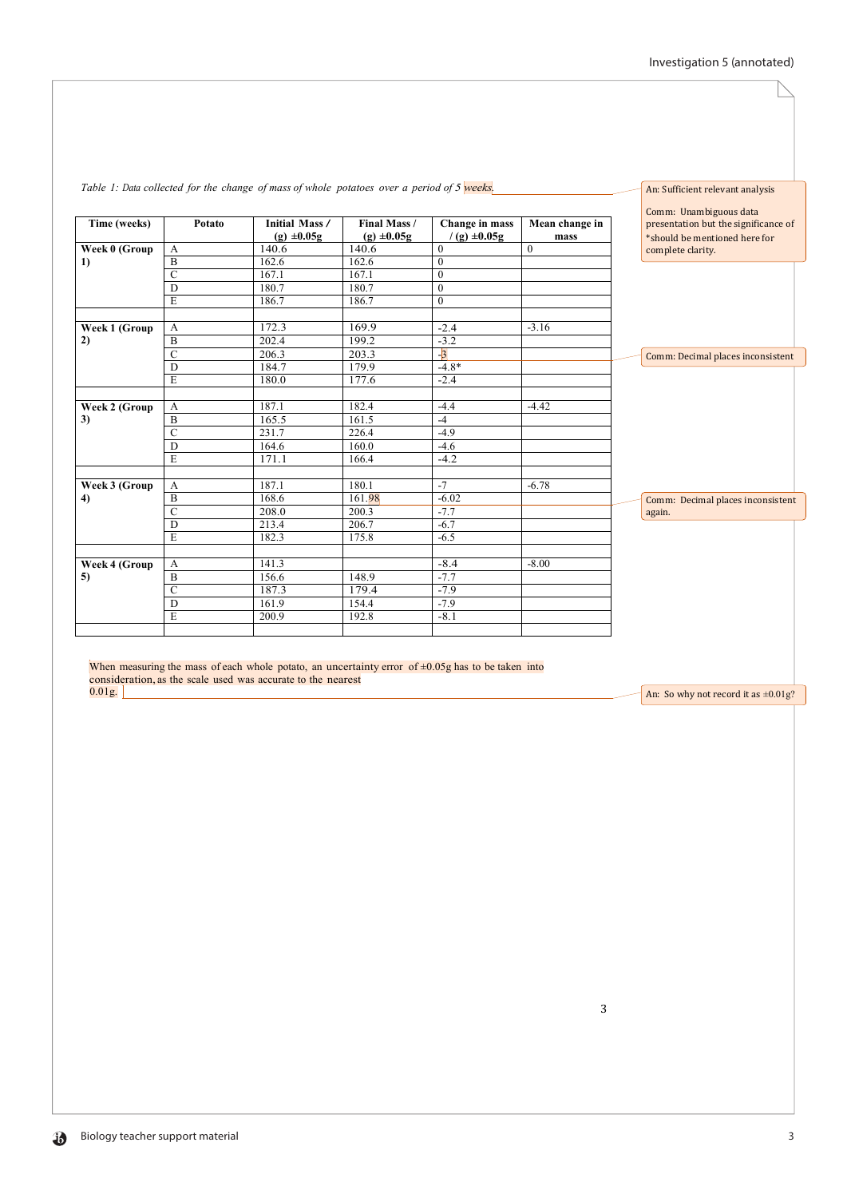|               |                  | Table 1: Data collected for the change of mass of whole potatoes over a period of $5$ weeks. |                                 |                                    |                        |  | An: Sufficient relevant analysis                                                                |
|---------------|------------------|----------------------------------------------------------------------------------------------|---------------------------------|------------------------------------|------------------------|--|-------------------------------------------------------------------------------------------------|
| Time (weeks)  | Potato           | <b>Initial Mass/</b><br>$(g) \pm 0.05g$                                                      | Final Mass /<br>$(g) \pm 0.05g$ | Change in mass<br>$/(g) \pm 0.05g$ | Mean change in<br>mass |  | Comm: Unambiguous data<br>presentation but the significance of<br>*should be mentioned here for |
| Week 0 (Group | A                | 140.6                                                                                        | 140.6                           | $\theta$                           | $\theta$               |  | complete clarity.                                                                               |
| 1)            | B                | 162.6                                                                                        | 162.6                           | $\mathbf{0}$                       |                        |  |                                                                                                 |
|               | $\mathcal{C}$    | 167.1                                                                                        | 167.1                           | $\mathbf{0}$                       |                        |  |                                                                                                 |
|               | D                | 180.7                                                                                        | 180.7                           | $\mathbf{0}$                       |                        |  |                                                                                                 |
|               | E                | 186.7                                                                                        | 186.7                           | $\boldsymbol{0}$                   |                        |  |                                                                                                 |
| Week 1 (Group | $\mathbf{A}$     | 172.3                                                                                        | 169.9                           | $-2.4$                             | $-3.16$                |  |                                                                                                 |
| 2)            | B                | 202.4                                                                                        | 199.2                           | $-3.2$                             |                        |  |                                                                                                 |
|               | $\mathbf C$      | 206.3                                                                                        | 203.3                           | $-3$                               |                        |  | Comm: Decimal places inconsistent                                                               |
|               | D                | 184.7                                                                                        | 179.9                           | $-4.8*$                            |                        |  |                                                                                                 |
|               | E                | 180.0                                                                                        | 177.6                           | $-2.4$                             |                        |  |                                                                                                 |
| Week 2 (Group | $\boldsymbol{A}$ | 187.1                                                                                        | 182.4                           | $-4.4$                             | $-4.42$                |  |                                                                                                 |
| 3)            | B                | 165.5                                                                                        | 161.5                           | $-4$                               |                        |  |                                                                                                 |
|               | $\overline{C}$   | 231.7                                                                                        | 226.4                           | $-4.9$                             |                        |  |                                                                                                 |
|               | D                | 164.6                                                                                        | 160.0                           | $-4.6$                             |                        |  |                                                                                                 |
|               | E                | 171.1                                                                                        | 166.4                           | $-4.2$                             |                        |  |                                                                                                 |
| Week 3 (Group | A                | 187.1                                                                                        | 180.1                           | $-7$                               | $-6.78$                |  |                                                                                                 |
| 4)            | $\mathbf B$      | 168.6                                                                                        | 161.98                          | $-6.02$                            |                        |  | Comm: Decimal places inconsistent                                                               |
|               | $\mathcal{C}$    | 208.0                                                                                        | 200.3                           | $-7.7$                             |                        |  | again.                                                                                          |
|               | D                | 213.4                                                                                        | 206.7                           | $-6.7$                             |                        |  |                                                                                                 |
|               | E                | 182.3                                                                                        | 175.8                           | $-6.5$                             |                        |  |                                                                                                 |
|               |                  |                                                                                              |                                 |                                    |                        |  |                                                                                                 |
| Week 4 (Group | $\mathbf{A}$     | 141.3                                                                                        |                                 | $-8.4$                             | $-8.00$                |  |                                                                                                 |
| 5)            | B                | 156.6                                                                                        | 148.9                           | $-7.7$                             |                        |  |                                                                                                 |
|               | $\mathcal{C}$    | 187.3                                                                                        | 179.4                           | $-7.9$                             |                        |  |                                                                                                 |
|               | $\overline{D}$   | 161.9                                                                                        | 154.4                           | $-7.9$                             |                        |  |                                                                                                 |
|               | E                | 200.9                                                                                        | 192.8                           | $-8.1$                             |                        |  |                                                                                                 |
|               |                  |                                                                                              |                                 |                                    |                        |  |                                                                                                 |

# *Table 1: Data collected for the change of mass of whole potatoes over a period of 5 weeks.*

When measuring the mass of each whole potato, an uncertainty error of  $\pm 0.05$ g has to be taken into consideration, as the scale used was accurate to the nearest  $0.01g.$ 

An: So why not record it as  $\pm 0.01$ g?

3

 $\mathbf{b}$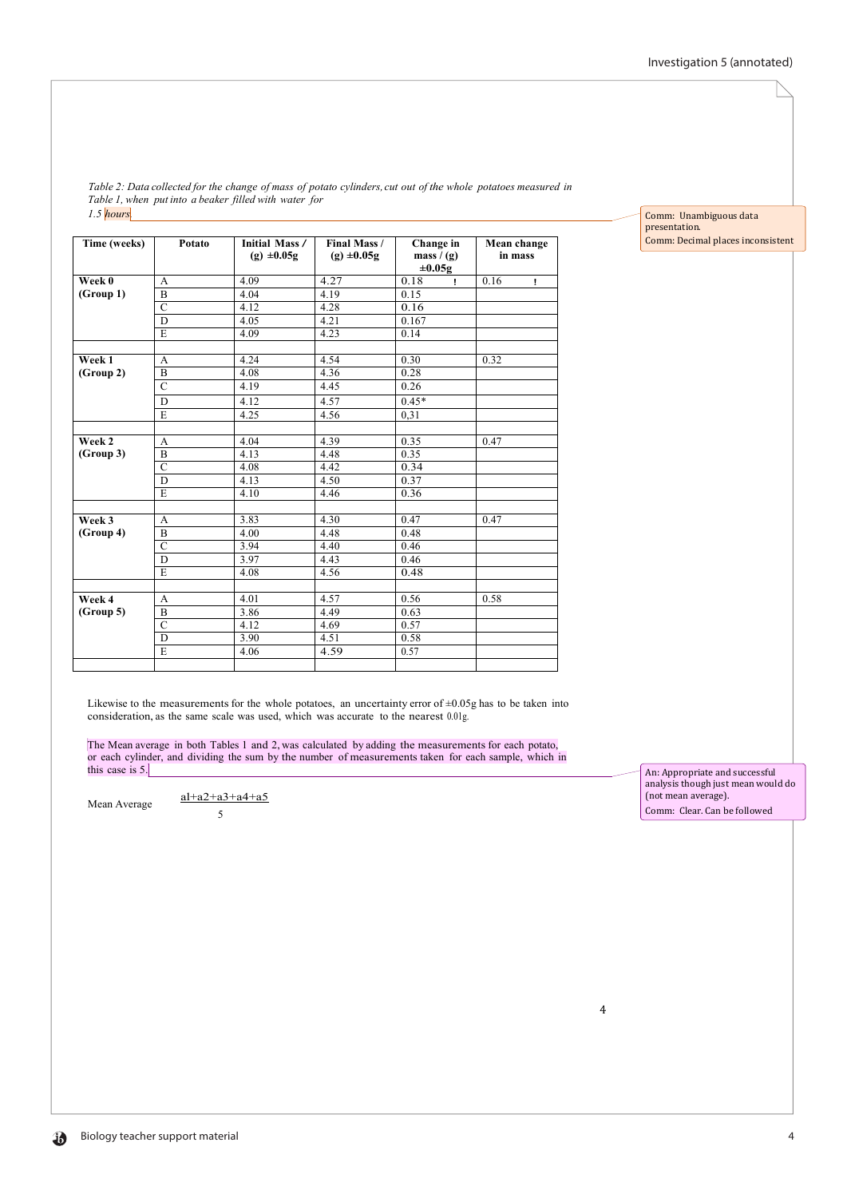Comm: Unambiguous data

Comm: Decimal places inconsistent

presentation.

Table 2: Data collected for the change of mass of potato cylinders, cut out of the whole potatoes measured in *Table 1, when put into a beaker filled with water for 1.5 hours.*

| Time (weeks) | Potato         | <b>Initial Mass /</b><br>$(g) \pm 0.05g$ | Final Mass /<br>$(g) \pm 0.05g$ | Change in<br>mass $/(g)$<br>$\pm 0.05$ g | Mean change<br>in mass |
|--------------|----------------|------------------------------------------|---------------------------------|------------------------------------------|------------------------|
| Week 0       | $\overline{A}$ | 4.09                                     | 4.27                            | 0.18<br>Ţ.                               | 0.16<br>$\mathbf{I}$   |
| (Group 1)    | B              | 4.04                                     | 4.19                            | 0.15                                     |                        |
|              | $\overline{C}$ | 4.12                                     | 4.28                            | 0.16                                     |                        |
|              | D              | 4.05                                     | 4.21                            | 0.167                                    |                        |
|              | E              | 4.09                                     | 4.23                            | 0.14                                     |                        |
|              |                |                                          |                                 |                                          |                        |
| Week 1       | A              | 4.24                                     | 4.54                            | 0.30                                     | 0.32                   |
| (Group 2)    | $\mathbf B$    | 4.08                                     | 4.36                            | 0.28                                     |                        |
|              | $\overline{C}$ | 4.19                                     | 4.45                            | 0.26                                     |                        |
|              | D              | 4.12                                     | 4.57                            | $0.45*$                                  |                        |
|              | E              | 4.25                                     | 4.56                            | 0.31                                     |                        |
|              |                |                                          |                                 |                                          |                        |
| Week 2       | A              | 4.04                                     | 4.39                            | 0.35                                     | 0.47                   |
| (Group 3)    | B              | 4.13                                     | 4.48                            | 0.35                                     |                        |
|              | $\overline{C}$ | 4.08                                     | 4.42                            | 0.34                                     |                        |
|              | D              | 4.13                                     | 4.50                            | 0.37                                     |                        |
|              | E              | 4.10                                     | 4.46                            | 0.36                                     |                        |
|              |                |                                          |                                 |                                          |                        |
| Week 3       | A              | 3.83                                     | 4.30                            | 0.47                                     | 0.47                   |
| (Group 4)    | $\overline{B}$ | 4.00                                     | 4.48                            | 0.48                                     |                        |
|              | $\overline{C}$ | 3.94                                     | 4.40                            | 0.46                                     |                        |
|              | D              | 3.97                                     | 4.43                            | 0.46                                     |                        |
|              | E              | 4.08                                     | 4.56                            | 0.48                                     |                        |
|              |                |                                          |                                 |                                          |                        |
| Week 4       | A              | 4.01                                     | 4.57                            | 0.56                                     | 0.58                   |
| (Group 5)    | $\mathbf B$    | 3.86                                     | 4.49                            | 0.63                                     |                        |
|              | $\overline{C}$ | 4.12                                     | 4.69                            | 0.57                                     |                        |
|              | $\overline{D}$ | 3.90                                     | 4.51                            | 0.58                                     |                        |
|              | E              | 4.06                                     | 4.59                            | 0.57                                     |                        |

Likewise to the measurements for the whole potatoes, an uncertainty error of  $\pm 0.05$ g has to be taken into consideration, as the same scale was used, which was accurate to the nearest 0.01g.

The Mean average in both Tables 1 and 2, was calculated by adding the measurements for each potato, or each cylinder, and dividing the sum by the number of measurements taken for each sample, which in this case is 5.

Mean Average  $\frac{al+a2+a3+a4+a5}{al+a2+a3+a4+a5}$ 5

An: Appropriate and successful analysis though just mean would do (not mean average). Comm: Clear. Can be followed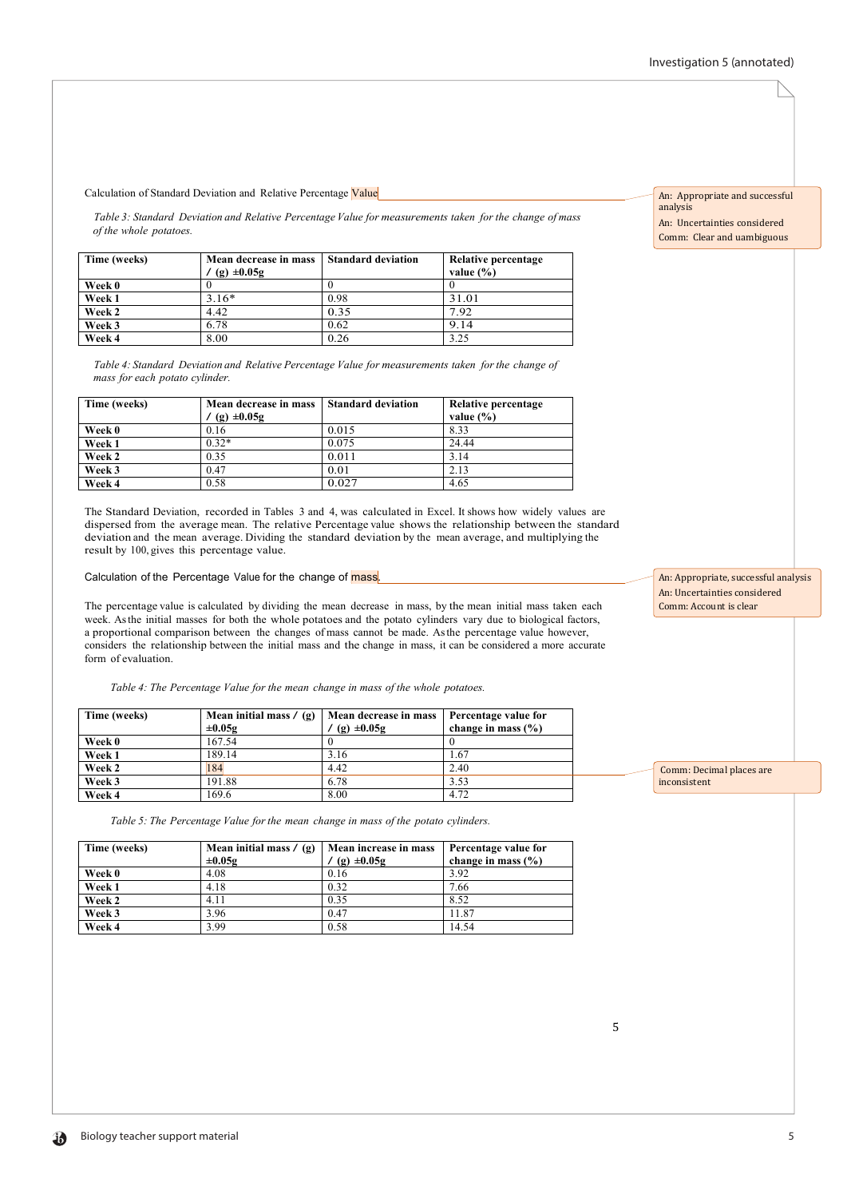Calculation of Standard Deviation and Relative Percentage Value

*Table 3: Standard Deviation and Relative Percentage Value for measurements taken for the change of mass of the whole potatoes.*

| Time (weeks) | Mean decrease in mass<br>$(g) \pm 0.05g$ | <b>Standard deviation</b> | Relative percentage<br>value $(\% )$ |
|--------------|------------------------------------------|---------------------------|--------------------------------------|
| Week 0       |                                          |                           |                                      |
| Week 1       | $3.16*$                                  | 0.98                      | 31.01                                |
| Week 2       | 4.42                                     | 0.35                      | 7.92                                 |
| Week 3       | 6.78                                     | 0.62                      | 9.14                                 |
| Week 4       | 8.00                                     | 0.26                      | 3.25                                 |

*Table 4: Standard Deviation and Relative Percentage Value for measurements taken forthe change of mass for each potato cylinder.*

| Time (weeks) | Mean decrease in mass | Standard deviation | Relative percentage |
|--------------|-----------------------|--------------------|---------------------|
|              | $(g) \pm 0.05g$       |                    | value $(\% )$       |
| Week 0       | 0.16                  | 0.015              | 8.33                |
| Week 1       | $0.32*$               | 0.075              | 24.44               |
| Week 2       | 0.35                  | 0.011              | 3.14                |
| Week 3       | 0.47                  | 0.01               | 2.13                |
| Week 4       | 0.58                  | 0.027              | 4.65                |

The Standard Deviation, recorded in Tables 3 and 4, was calculated in Excel. It shows how widely values are dispersed from the average mean. The relative Percentage value shows the relationship between the standard deviation and the mean average. Dividing the standard deviation by the mean average, and multiplying the result by 100, gives this percentage value.

Calculation of the Percentage Value for the change of mass

The percentage value is calculated by dividing the mean decrease in mass, by the mean initial mass taken each week. Asthe initial masses for both the whole potatoes and the potato cylinders vary due to biological factors, a proportional comparison between the changes of mass cannot be made. Asthe percentage value however, considers the relationship between the initial mass and the change in mass, it can be considered a more accurate form of evaluation.

*Table 4: The Percentage Value for the mean change in mass of the whole potatoes.*

| Time (weeks)  | Mean initial mass $\ell$ (g)<br>$\pm 0.05g$ | Mean decrease in mass<br>$(g) \pm 0.05g$ | Percentage value for<br>change in mass $(\% )$ |
|---------------|---------------------------------------------|------------------------------------------|------------------------------------------------|
| Week 0        | 167.54                                      |                                          |                                                |
| <b>Week 1</b> | 189.14                                      | 3.16                                     | 1.67                                           |
| Week 2        | 184                                         | 4.42                                     | 2.40                                           |
| Week 3        | 191.88                                      | 6.78                                     | 3.53                                           |
| Week 4        | 169.6                                       | 8.00                                     | 4.72                                           |

*Table 5: The Percentage Value forthe mean change in mass of the potato cylinders.*

| Time (weeks) | Mean initial mass $/(g)$<br>$\pm 0.05g$ | Mean increase in mass<br>$(g) \pm 0.05g$ | Percentage value for<br>change in mass $(\% )$ |
|--------------|-----------------------------------------|------------------------------------------|------------------------------------------------|
| Week 0       | 4.08                                    | 0.16                                     | 3.92                                           |
| Week 1       | 4.18                                    | 0.32                                     | 7.66                                           |
| Week 2       | 4.11                                    | 0.35                                     | 8.52                                           |
| Week 3       | 3.96                                    | 0.47                                     | 11.87                                          |
| Week 4       | 3.99                                    | 0.58                                     | 14.54                                          |

An: Appropriate and successful analysis An: Uncertainties considered Comm: Clear and uambiguous

An: Appropriate, successful analysis An: Uncertainties considered Comm: Account is clear

 Comm: Decimal places are inconsistent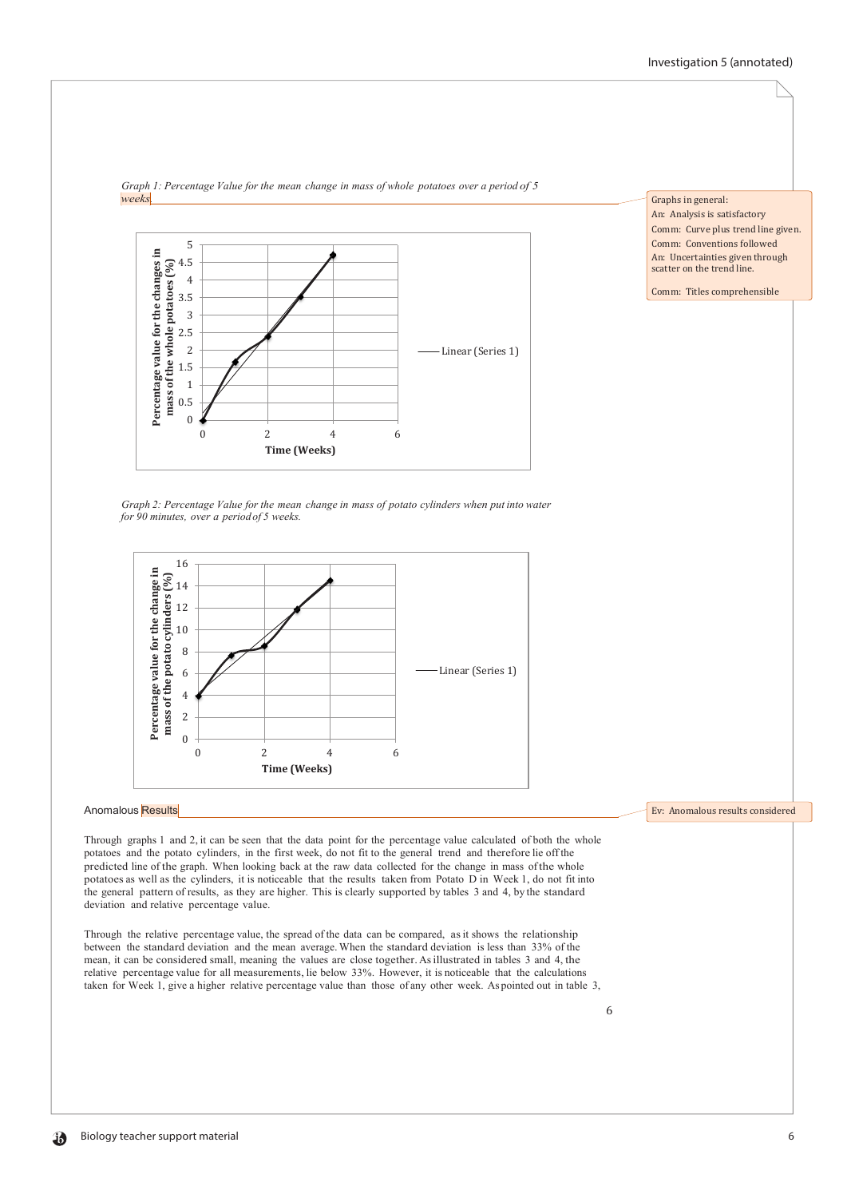

*Graph 1: Percentage Value for the mean change in mass of whole potatoes over a period of 5 weeks.*

Graphs in general:

An: Analysis is satisfactory Comm: Curve plus trend line given. Comm: Conventions followed An: Uncertainties given through scatter on the trend line.

Comm: Titles comprehensible

Ev: Anomalous results considered

*Graph 2: Percentage Value for the mean change in mass of potato cylinders when put into water for 90 minutes, over a periodof 5 weeks.*



## Anomalous Results

Through graphs 1 and 2, it can be seen that the data point for the percentage value calculated of both the whole potatoes and the potato cylinders, in the first week, do not fit to the general trend and therefore lie offthe predicted line of the graph. When looking back at the raw data collected for the change in mass ofthe whole potatoes as well as the cylinders, it is noticeable that the results taken from Potato D in Week 1, do not fit into the general pattern of results, as they are higher. This is clearly supported by tables 3 and 4, by the standard deviation and relative percentage value.

Through the relative percentage value, the spread of the data can be compared, asit shows the relationship between the standard deviation and the mean average.When the standard deviation is less than 33% of the mean, it can be considered small, meaning the values are close together.Asillustrated in tables 3 and 4, the relative percentage value for all measurements, lie below 33%. However, it is noticeable that the calculations taken for Week 1, give a higher relative percentage value than those of any other week. As pointed out in table 3,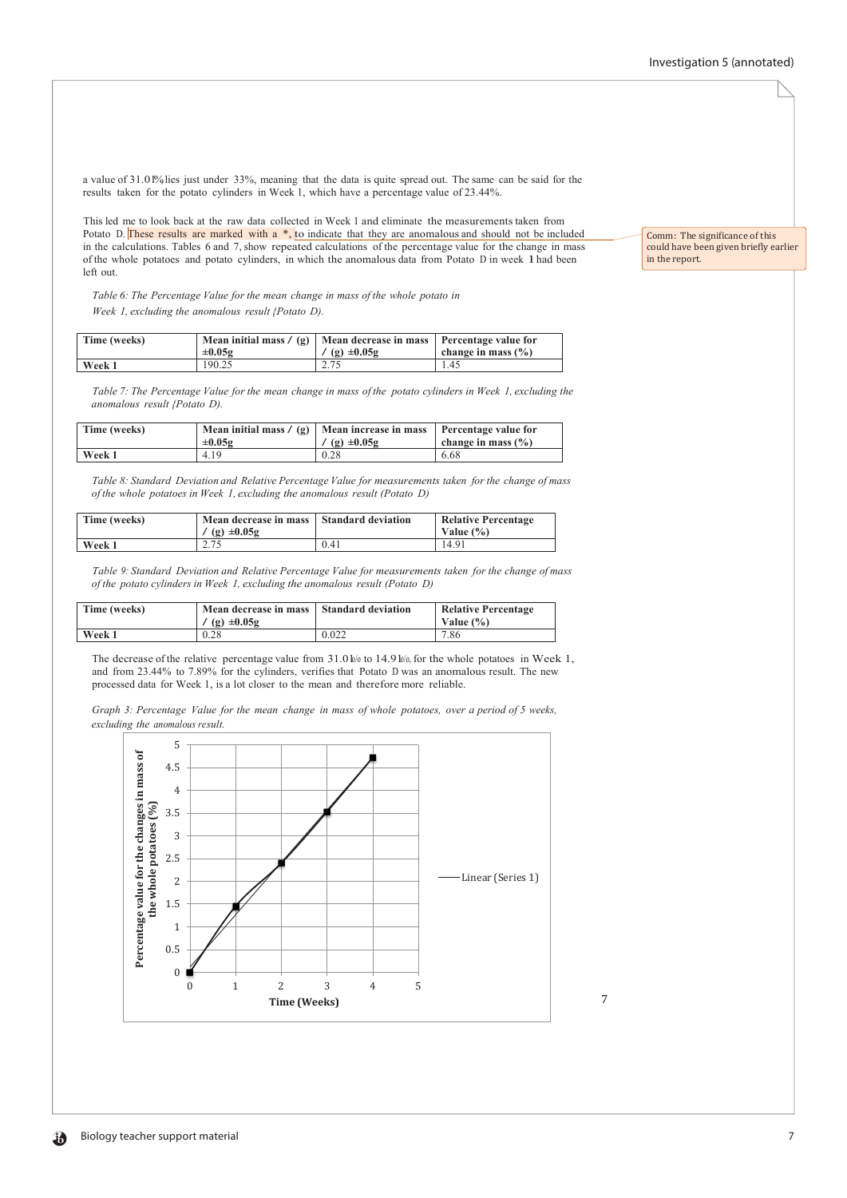a value of 31.01%, lies just under 33%, meaning that the data is quite spread out. The same can be said for the results taken for the potato cylinders in Week 1, which have a percentage value of 23.44%.

This led me to look back at the raw data collected in Week 1 and eliminate the measurements taken from Potato D. These results are marked with a  $*,$  to indicate that they are anomalous and should not be included in the calculations. Tables 6 and 7, show repeated calculations of the percentage value for the change in mass of the whole potatoes and potato cylinders, in which the anomalous data from Potato <sup>D</sup> in week 1had been left out.

*Table 6: The Percentage Value for the mean change in mass of the whole potato in Week 1, excluding the anomalous result {Potato D).*

| Time (weeks) | $\pm 0.05$ g | Mean initial mass $\ell$ (g)   Mean decrease in mass   Percentage value for<br>/ (g) $\pm 0.05g$ | change in mass $(\% )$ |
|--------------|--------------|--------------------------------------------------------------------------------------------------|------------------------|
| Week 1       | 190.25       |                                                                                                  | l.45                   |

Table 7: The Percentage Value for the mean change in mass of the potato cylinders in Week 1, excluding the *anomalous result {Potato D).*

| Time (weeks) | Mean initial mass $/(g)$ Mean increase in mass<br>$\pm 0.05$ g | $(g) \pm 0.05g$ | <b>Percentage value for</b><br>change in mass $(\% )$ |
|--------------|----------------------------------------------------------------|-----------------|-------------------------------------------------------|
| Week 1       | 4.19                                                           | 0.28            | 6.68                                                  |

*Table 8: Standard Deviation and Relative Percentage Value for measurements taken for the change of mass of the whole potatoes in Week 1, excluding the anomalous result (Potato D)*

| Time (weeks) | Mean decrease in mass Standard deviation<br>$(g) \pm 0.05g$ |      | <b>Relative Percentage</b><br>Value $(\% )$ |
|--------------|-------------------------------------------------------------|------|---------------------------------------------|
| Week 1       | 2.75                                                        | 0.41 | 14.91                                       |

*Table 9: Standard Deviation and Relative Percentage Value for measurements taken for the change of mass of the potato cylinders in Week 1, excluding the anomalous result (Potato D)*

| Time (weeks) | Mean decrease in mass   Standard deviation<br>$(g) \pm 0.05g$ |       | <b>Relative Percentage</b><br>Value $(\% )$ |
|--------------|---------------------------------------------------------------|-------|---------------------------------------------|
| Week 1       | 0.28                                                          | 0.022 | 7.86                                        |

The decrease of the relative percentage value from  $31.0\frac{1}{10}$  to  $14.9\frac{1}{10}$ , for the whole potatoes in Week 1, and from 23.44% to 7.89% for the cylinders, verifies that Potato D was an anomalous result. The new processed data for Week 1, is a lot closer to the mean and therefore more reliable.

Graph 3: Percentage Value for the mean change in mass of whole potatoes, over a period of 5 weeks, *excluding the anomalous result.*



7

Comm: The significance of this could have been given briefly earlier in the report.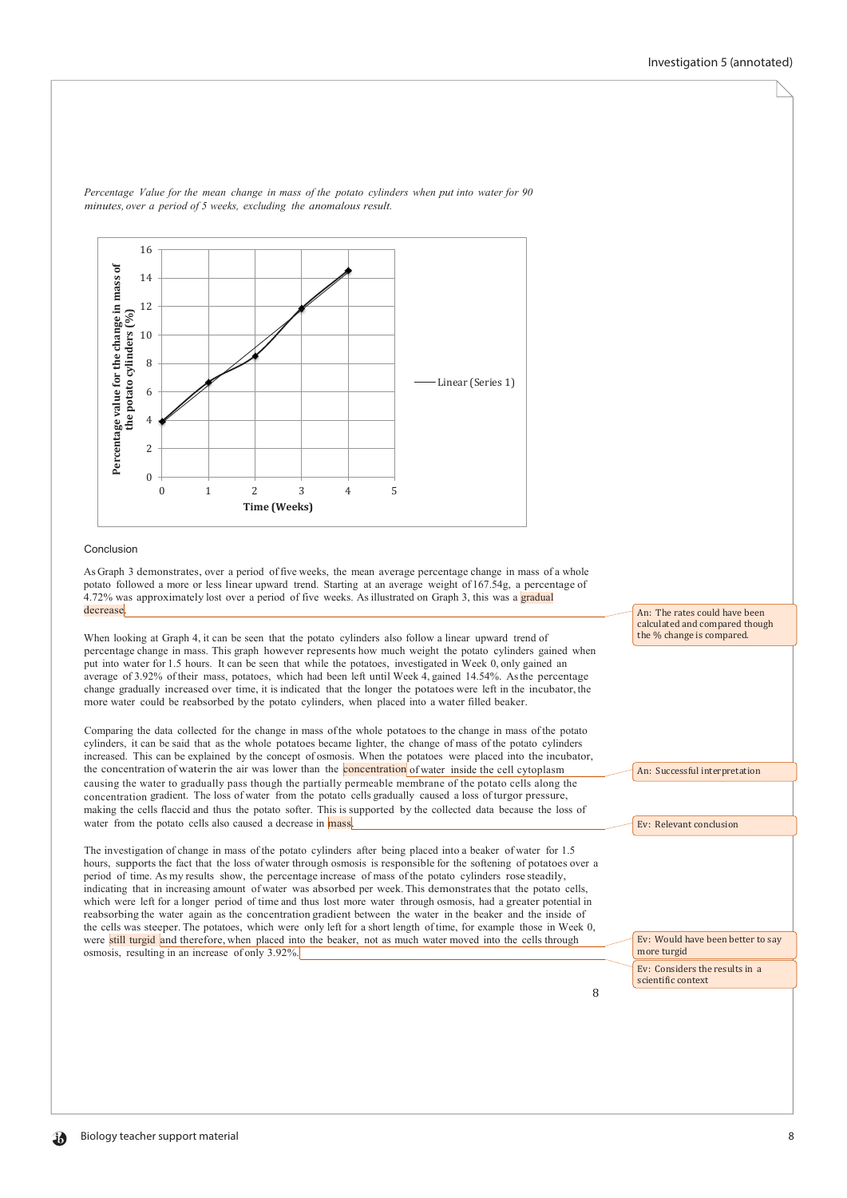

*Percentage Value for the mean change in mass of the potato cylinders when put into water for 90 minutes, over a period of 5 weeks, excluding the anomalous result.*

#### Conclusion

As Graph 3 demonstrates, over a period of five weeks, the mean average percentage change in mass of a whole potato followed a more or less linear upward trend. Starting at an average weight of 167.54g, a percentage of 4.72% was approximately lost over a period of five weeks. As illustrated on Graph 3, this was a gradual decrease.

When looking at Graph 4, it can be seen that the potato cylinders also follow a linear upward trend of percentage change in mass. This graph however represents how much weight the potato cylinders gained when put into water for 1.5 hours. It can be seen that while the potatoes, investigated in Week 0, only gained an average of 3.92% of their mass, potatoes, which had been left until Week 4, gained 14.54%. Asthe percentage change gradually increased over time, it is indicated that the longer the potatoes were left in the incubator, the more water could be reabsorbed by the potato cylinders, when placed into a water filled beaker.

Comparing the data collected for the change in mass ofthe whole potatoes to the change in mass of the potato cylinders, it can be said that as the whole potatoes became lighter, the change of mass of the potato cylinders increased. This can be explained by the concept of osmosis. When the potatoes were placed into the incubator, the concentration of waterin the air was lower than the **concentration** of water inside the cell cytoplasm causing the water to gradually pass though the partially permeable membrane of the potato cells along the concentration gradient. The loss of water from the potato cells gradually caused a loss of turgor pressure, making the cells flaccid and thus the potato softer. This is supported by the collected data because the loss of water from the potato cells also caused a decrease in mass.

The investigation of change in mass of the potato cylinders after being placed into a beaker of water for 1.5 hours, supports the fact that the loss of water through osmosis is responsible for the softening of potatoes over a period of time. As my results show, the percentage increase of mass of the potato cylinders rose steadily, indicating that in increasing amount of water was absorbed per week. This demonstratesthat the potato cells, which were left for a longer period of time and thus lost more water through osmosis, had a greater potential in reabsorbing the water again as the concentration gradient between the water in the beaker and the inside of the cells was steeper. The potatoes, which were only left for a short length of time, for example those in Week 0, were still turgid and therefore, when placed into the beaker, not as much water moved into the cells through osmosis, resulting in an increase of only 3.92%.

An: The rates could have been calculated and compared though the % change is compared.

An: Successful interpretation

Ev: Relevant conclusion

Ev: Would have been better to say more turgid

Ev: Considers the results in a scientific context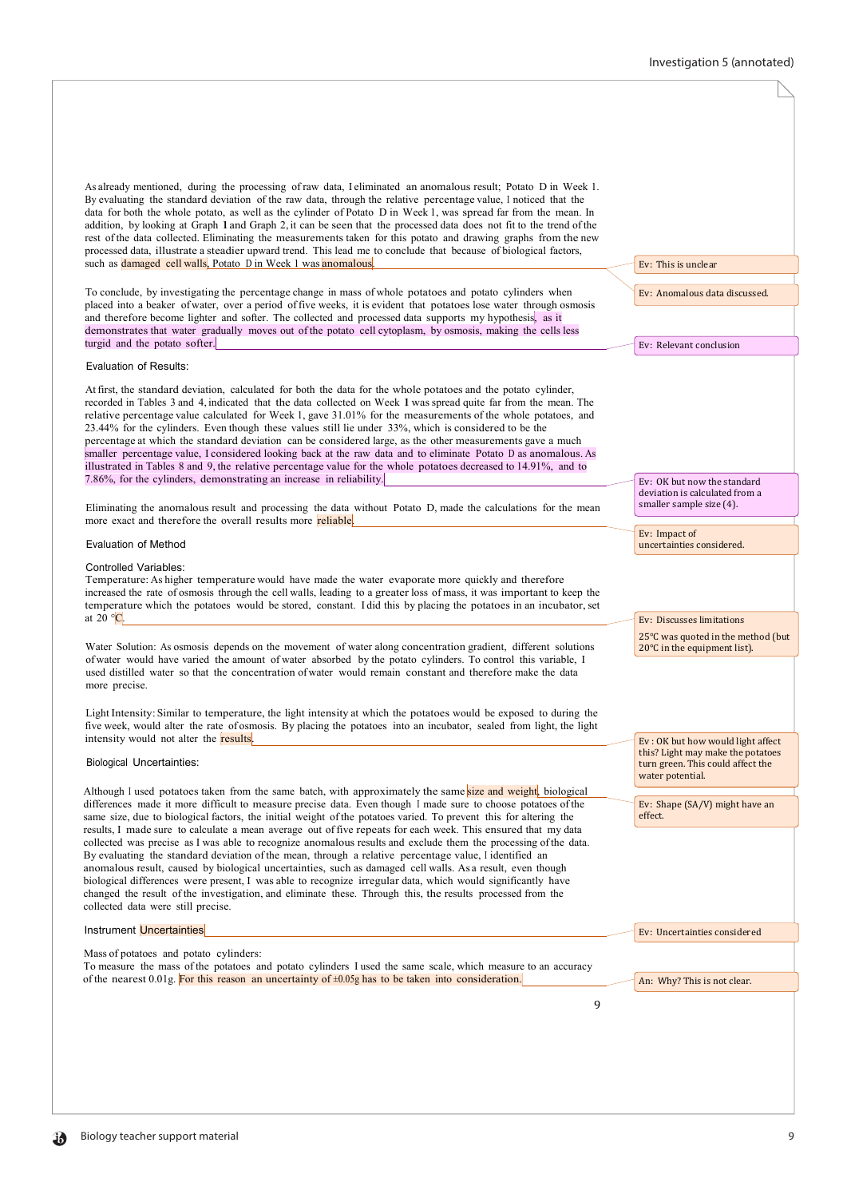### Investigation 5 (annotated)